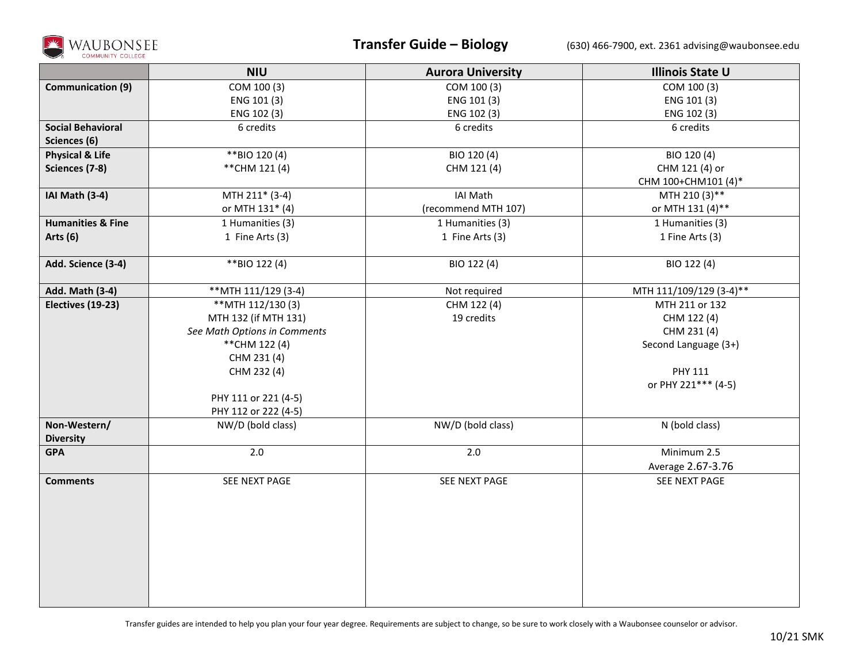

|                              | <b>NIU</b>                   | <b>Aurora University</b> | <b>Illinois State U</b> |
|------------------------------|------------------------------|--------------------------|-------------------------|
| <b>Communication (9)</b>     | COM 100 (3)                  | COM 100 (3)              | COM 100 (3)             |
|                              | ENG 101 (3)                  | ENG 101 (3)              | ENG 101 (3)             |
|                              | ENG 102 (3)                  | ENG 102 (3)              | ENG 102 (3)             |
| <b>Social Behavioral</b>     | 6 credits                    | 6 credits                | 6 credits               |
| Sciences (6)                 |                              |                          |                         |
| <b>Physical &amp; Life</b>   | **BIO 120(4)                 | BIO 120 (4)              | BIO 120 (4)             |
| Sciences (7-8)               | ** CHM 121 (4)               | CHM 121 (4)              | CHM 121 (4) or          |
|                              |                              |                          | CHM 100+CHM101 (4)*     |
| IAI Math (3-4)               | MTH 211* (3-4)               | <b>IAI Math</b>          | MTH 210 (3)**           |
|                              | or MTH 131* (4)              | (recommend MTH 107)      | or MTH 131 (4)**        |
| <b>Humanities &amp; Fine</b> | 1 Humanities (3)             | 1 Humanities (3)         | 1 Humanities (3)        |
| <b>Arts (6)</b>              | 1 Fine Arts (3)              | 1 Fine Arts (3)          | 1 Fine Arts (3)         |
|                              |                              |                          |                         |
| Add. Science (3-4)           | **BIO 122 (4)                | BIO 122 (4)              | BIO 122 (4)             |
|                              |                              |                          |                         |
| Add. Math (3-4)              | **MTH 111/129 (3-4)          | Not required             | MTH 111/109/129 (3-4)** |
| Electives (19-23)            | **MTH 112/130 (3)            | CHM 122 (4)              | MTH 211 or 132          |
|                              | MTH 132 (if MTH 131)         | 19 credits               | CHM 122 (4)             |
|                              | See Math Options in Comments |                          | CHM 231 (4)             |
|                              | ** CHM 122 (4)               |                          | Second Language (3+)    |
|                              | CHM 231 (4)                  |                          |                         |
|                              | CHM 232 (4)                  |                          | <b>PHY 111</b>          |
|                              |                              |                          | or PHY 221 *** (4-5)    |
|                              | PHY 111 or 221 (4-5)         |                          |                         |
|                              | PHY 112 or 222 (4-5)         |                          |                         |
| Non-Western/                 | NW/D (bold class)            | NW/D (bold class)        | N (bold class)          |
| <b>Diversity</b>             |                              |                          |                         |
| <b>GPA</b>                   | $2.0\,$                      | 2.0                      | Minimum 2.5             |
|                              |                              |                          | Average 2.67-3.76       |
| <b>Comments</b>              | SEE NEXT PAGE                | SEE NEXT PAGE            | SEE NEXT PAGE           |
|                              |                              |                          |                         |
|                              |                              |                          |                         |
|                              |                              |                          |                         |
|                              |                              |                          |                         |
|                              |                              |                          |                         |
|                              |                              |                          |                         |
|                              |                              |                          |                         |
|                              |                              |                          |                         |

Transfer guides are intended to help you plan your four year degree. Requirements are subject to change, so be sure to work closely with a Waubonsee counselor or advisor.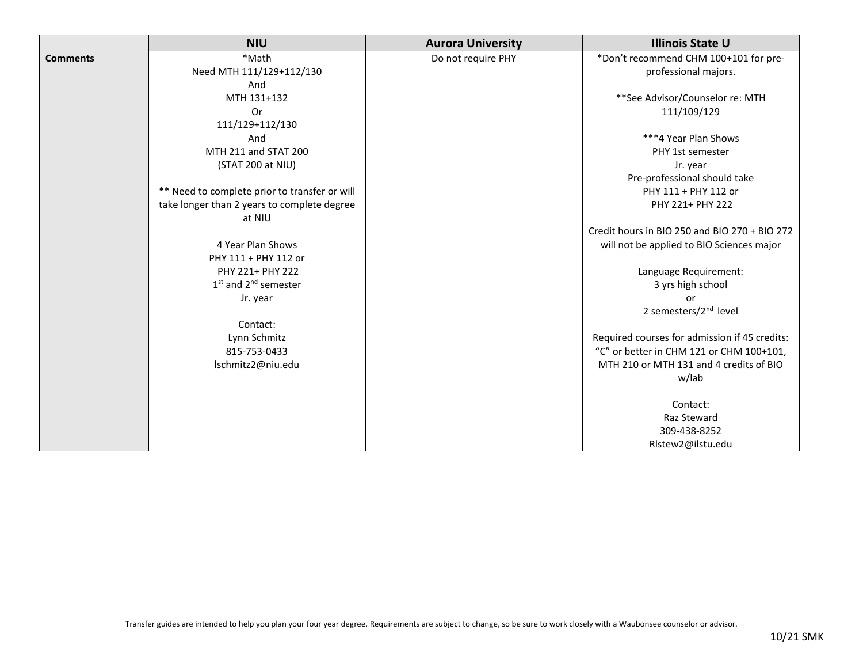|                 | <b>NIU</b>                                    | <b>Aurora University</b> | <b>Illinois State U</b>                       |
|-----------------|-----------------------------------------------|--------------------------|-----------------------------------------------|
| <b>Comments</b> | *Math                                         | Do not require PHY       | *Don't recommend CHM 100+101 for pre-         |
|                 | Need MTH 111/129+112/130                      |                          | professional majors.                          |
|                 | And                                           |                          |                                               |
|                 | MTH 131+132                                   |                          | **See Advisor/Counselor re: MTH               |
|                 | 0r                                            |                          | 111/109/129                                   |
|                 | 111/129+112/130                               |                          |                                               |
|                 | And                                           |                          | ***4 Year Plan Shows                          |
|                 | MTH 211 and STAT 200                          |                          | PHY 1st semester                              |
|                 | (STAT 200 at NIU)                             |                          | Jr. year                                      |
|                 |                                               |                          | Pre-professional should take                  |
|                 | ** Need to complete prior to transfer or will |                          | PHY 111 + PHY 112 or                          |
|                 | take longer than 2 years to complete degree   |                          | PHY 221+ PHY 222                              |
|                 | at NIU                                        |                          |                                               |
|                 |                                               |                          | Credit hours in BIO 250 and BIO 270 + BIO 272 |
|                 | 4 Year Plan Shows                             |                          | will not be applied to BIO Sciences major     |
|                 | PHY 111 + PHY 112 or                          |                          |                                               |
|                 | PHY 221+ PHY 222                              |                          | Language Requirement:                         |
|                 | 1 <sup>st</sup> and 2 <sup>nd</sup> semester  |                          | 3 yrs high school                             |
|                 | Jr. year                                      |                          | nr                                            |
|                 |                                               |                          | 2 semesters/2 <sup>nd</sup> level             |
|                 | Contact:                                      |                          |                                               |
|                 | Lynn Schmitz                                  |                          | Required courses for admission if 45 credits: |
|                 | 815-753-0433                                  |                          | "C" or better in CHM 121 or CHM 100+101,      |
|                 | Ischmitz2@niu.edu                             |                          | MTH 210 or MTH 131 and 4 credits of BIO       |
|                 |                                               |                          | w/lab                                         |
|                 |                                               |                          |                                               |
|                 |                                               |                          | Contact:                                      |
|                 |                                               |                          | Raz Steward                                   |
|                 |                                               |                          | 309-438-8252                                  |
|                 |                                               |                          | RIstew2@ilstu.edu                             |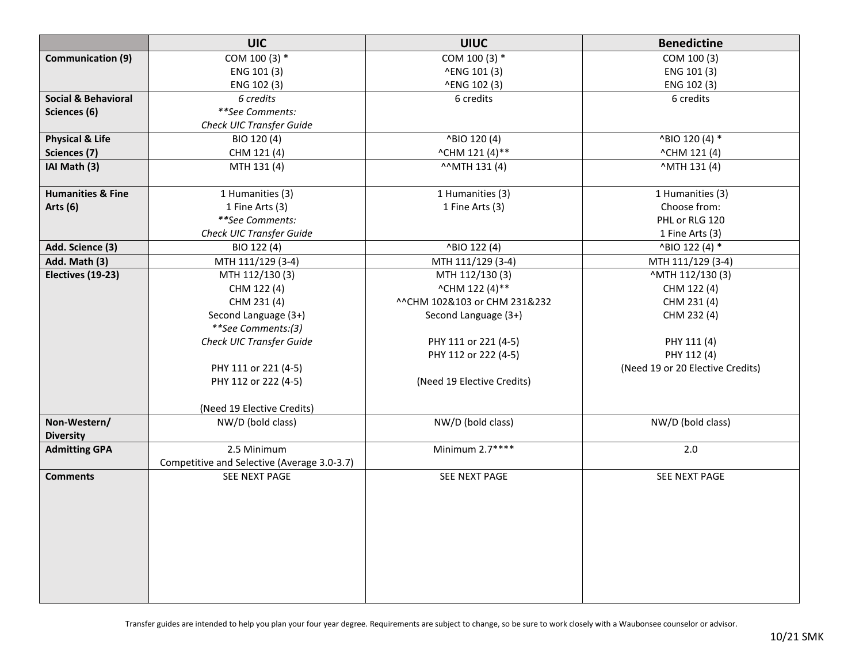|                                | <b>UIC</b>                                  | <b>UIUC</b>                  | <b>Benedictine</b>               |
|--------------------------------|---------------------------------------------|------------------------------|----------------------------------|
| <b>Communication (9)</b>       | COM 100 (3) *                               | COM 100 (3) *                | COM 100 (3)                      |
|                                | ENG 101 (3)                                 | ^ENG 101 (3)                 | ENG 101 (3)                      |
|                                | ENG 102 (3)                                 | ^ENG 102 (3)                 | ENG 102 (3)                      |
| <b>Social &amp; Behavioral</b> | 6 credits                                   | 6 credits                    | 6 credits                        |
| Sciences (6)                   | **See Comments:                             |                              |                                  |
|                                | Check UIC Transfer Guide                    |                              |                                  |
| <b>Physical &amp; Life</b>     | BIO 120 (4)                                 | ^BIO 120 (4)                 | ^BIO 120 (4) *                   |
| Sciences (7)                   | CHM 121 (4)                                 | ^CHM 121 (4)**               | ^CHM 121 (4)                     |
| IAI Math (3)                   | MTH 131 (4)                                 | ^^MTH 131 (4)                | ^MTH 131 (4)                     |
| <b>Humanities &amp; Fine</b>   | 1 Humanities (3)                            | 1 Humanities (3)             | 1 Humanities (3)                 |
| Arts $(6)$                     | 1 Fine Arts (3)                             | 1 Fine Arts (3)              | Choose from:                     |
|                                | **See Comments:                             |                              | PHL or RLG 120                   |
|                                | Check UIC Transfer Guide                    |                              | 1 Fine Arts (3)                  |
| Add. Science (3)               | BIO 122 (4)                                 | ^BIO 122 (4)                 | ^BIO 122 (4) *                   |
| Add. Math (3)                  | MTH 111/129 (3-4)                           | MTH 111/129 (3-4)            | MTH 111/129 (3-4)                |
| Electives (19-23)              | MTH 112/130 (3)                             | MTH 112/130 (3)              | ^MTH 112/130 (3)                 |
|                                | CHM 122 (4)                                 | ^CHM 122 (4)**               | CHM 122 (4)                      |
|                                | CHM 231 (4)                                 | ^^CHM 102&103 or CHM 231&232 | CHM 231 (4)                      |
|                                | Second Language (3+)                        | Second Language (3+)         | CHM 232 (4)                      |
|                                | **See Comments:(3)                          |                              |                                  |
|                                | Check UIC Transfer Guide                    | PHY 111 or 221 (4-5)         | PHY 111 (4)                      |
|                                |                                             | PHY 112 or 222 (4-5)         | PHY 112 (4)                      |
|                                | PHY 111 or 221 (4-5)                        |                              | (Need 19 or 20 Elective Credits) |
|                                | PHY 112 or 222 (4-5)                        | (Need 19 Elective Credits)   |                                  |
|                                |                                             |                              |                                  |
|                                | (Need 19 Elective Credits)                  |                              |                                  |
| Non-Western/                   | NW/D (bold class)                           | NW/D (bold class)            | NW/D (bold class)                |
| <b>Diversity</b>               | 2.5 Minimum                                 | Minimum 2.7****              | $2.0$                            |
| <b>Admitting GPA</b>           | Competitive and Selective (Average 3.0-3.7) |                              |                                  |
| <b>Comments</b>                | SEE NEXT PAGE                               | SEE NEXT PAGE                | SEE NEXT PAGE                    |
|                                |                                             |                              |                                  |
|                                |                                             |                              |                                  |
|                                |                                             |                              |                                  |
|                                |                                             |                              |                                  |
|                                |                                             |                              |                                  |
|                                |                                             |                              |                                  |
|                                |                                             |                              |                                  |
|                                |                                             |                              |                                  |
|                                |                                             |                              |                                  |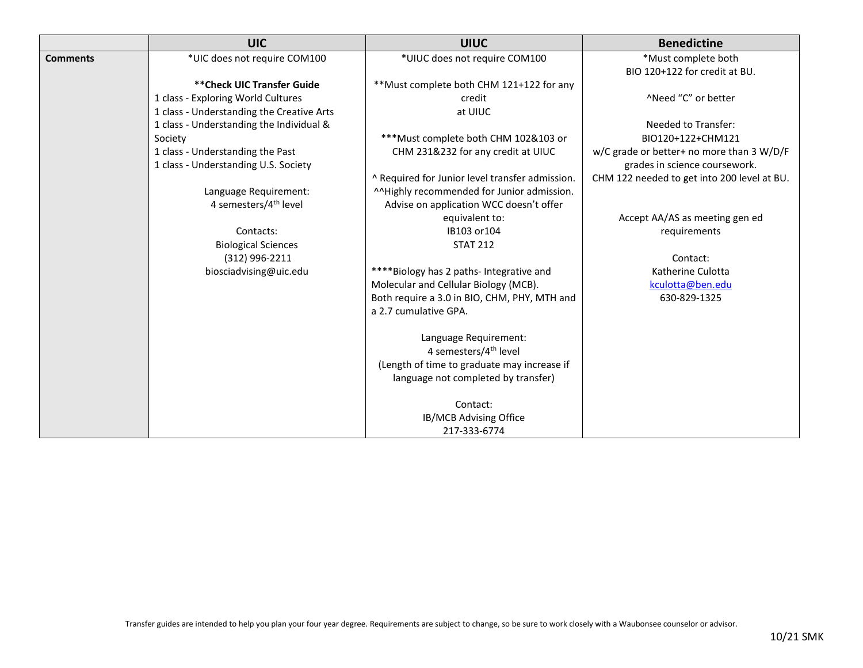|                 | <b>UIC</b>                                | <b>UIUC</b>                                     | <b>Benedictine</b>                          |
|-----------------|-------------------------------------------|-------------------------------------------------|---------------------------------------------|
| <b>Comments</b> | *UIC does not require COM100              | *UIUC does not require COM100                   | *Must complete both                         |
|                 |                                           |                                                 | BIO 120+122 for credit at BU.               |
|                 | ** Check UIC Transfer Guide               | **Must complete both CHM 121+122 for any        |                                             |
|                 | 1 class - Exploring World Cultures        | credit                                          | "Need "C" or better                         |
|                 | 1 class - Understanding the Creative Arts | at UIUC                                         |                                             |
|                 | 1 class - Understanding the Individual &  |                                                 | Needed to Transfer:                         |
|                 | Society                                   | *** Must complete both CHM 102&103 or           | BIO120+122+CHM121                           |
|                 | 1 class - Understanding the Past          | CHM 231&232 for any credit at UIUC              | w/C grade or better+ no more than 3 W/D/F   |
|                 | 1 class - Understanding U.S. Society      |                                                 | grades in science coursework.               |
|                 |                                           | ^ Required for Junior level transfer admission. | CHM 122 needed to get into 200 level at BU. |
|                 | Language Requirement:                     | ^^Highly recommended for Junior admission.      |                                             |
|                 | 4 semesters/4 <sup>th</sup> level         | Advise on application WCC doesn't offer         |                                             |
|                 |                                           | equivalent to:                                  | Accept AA/AS as meeting gen ed              |
|                 | Contacts:                                 | IB103 or104                                     | requirements                                |
|                 | <b>Biological Sciences</b>                | <b>STAT 212</b>                                 |                                             |
|                 | (312) 996-2211                            |                                                 | Contact:                                    |
|                 | biosciadvising@uic.edu                    | ****Biology has 2 paths- Integrative and        | Katherine Culotta                           |
|                 |                                           | Molecular and Cellular Biology (MCB).           | kculotta@ben.edu                            |
|                 |                                           | Both require a 3.0 in BIO, CHM, PHY, MTH and    | 630-829-1325                                |
|                 |                                           | a 2.7 cumulative GPA.                           |                                             |
|                 |                                           | Language Requirement:                           |                                             |
|                 |                                           | 4 semesters/4 <sup>th</sup> level               |                                             |
|                 |                                           | (Length of time to graduate may increase if     |                                             |
|                 |                                           | language not completed by transfer)             |                                             |
|                 |                                           | Contact:                                        |                                             |
|                 |                                           | IB/MCB Advising Office                          |                                             |
|                 |                                           | 217-333-6774                                    |                                             |